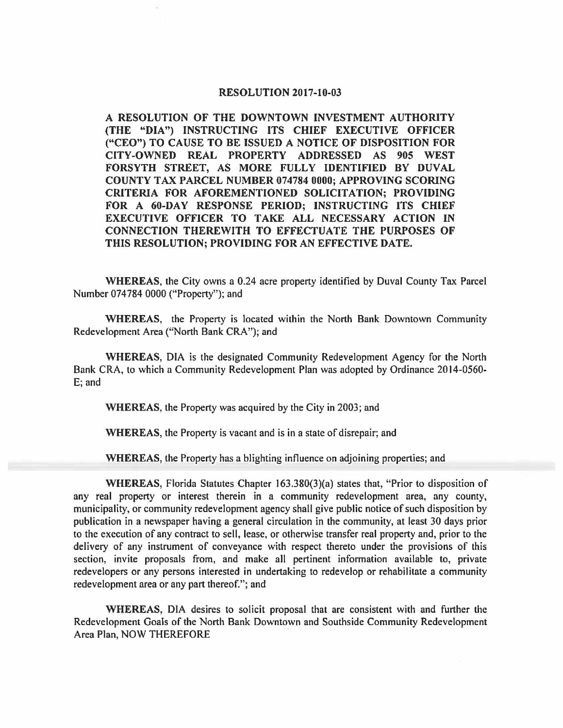## **RESOLUTION 2017-10-03**

**A RESOLUTION OF THE DOWNTOWN INVESTMENT AUTHORITY (THE "DIA") INSTRUCTING ITS CHIEF EXECUTIVE OFFICER ("CEO") TO CAUSE TO BE ISSUED A NOTICE OF DISPOSITION FOR CITY-OWNED REAL PROPERTY ADDRESSED AS 905 WEST FORSYTH STREET, AS MORE FULLY IDENTIFIED BY DUVAL COUNTY TAX PARCEL NUMBER 074784 0000; APPROVING SCORING CRITERIA FOR AFOREMENTIONED SOLICITATION; PROVIDING**  FOR A 60-DAY RESPONSE PERIOD; INSTRUCTING ITS CHIEF **EXECUTIVE OFFICER TO TAKE ALL NECESSARY ACTION IN CONNECTION THEREWITH TO EFFECTUATE THE PURPOSES OF THIS RESOLUTION; PROVIDING FOR AN EFFECTIVE DATE.** 

**WHEREAS,** the City owns a 0.24 acre property identified by Duval County Tax Parcel Number 074784 0000 ("Property"); and

**WHEREAS,** the Property is located within the North Bank Downtown Community Redevelopment Area ("North Bank CRA"); and

**WHEREAS,** DIA is the designated Community Redevelopment Agency for the North Bank CRA, to which a Community Redevelopment Plan was adopted by Ordinance 2014-0560- E; and

**WHEREAS,** the Property was acquired by the City in 2003; and

**WHEREAS,** the Property is vacant and is in a state of disrepair; and

**WHEREAS,** the Property has a blighting influence on adjoining properties; and

**WHEREAS, Florida Statutes Chapter 163.380(3)(a) states that, "Prior to disposition of** any real property or interest therein in a community redevelopment area, any county, municipality, or community redevelopment agency shall give public notice of such disposition by publication in a newspaper having a general circulation in the community, at least 30 days prior to the execution of any contract to sell, lease, or otherwise transfer real property and, prior to the delivery of any instrument of conveyance with respect thereto under the provisions of this section, invite proposals from, and make all pertinent information available to, private redevelopers or any persons interested in undertaking to redevelop or rehabilitate a community redevelopment area or any part thereof."; and

**WHEREAS,** DIA desires to solicit proposal that are consistent with and further the Redevelopment Goals of the North Bank Downtown and Southside Community Redevelopment Area Plan, NOW THEREFORE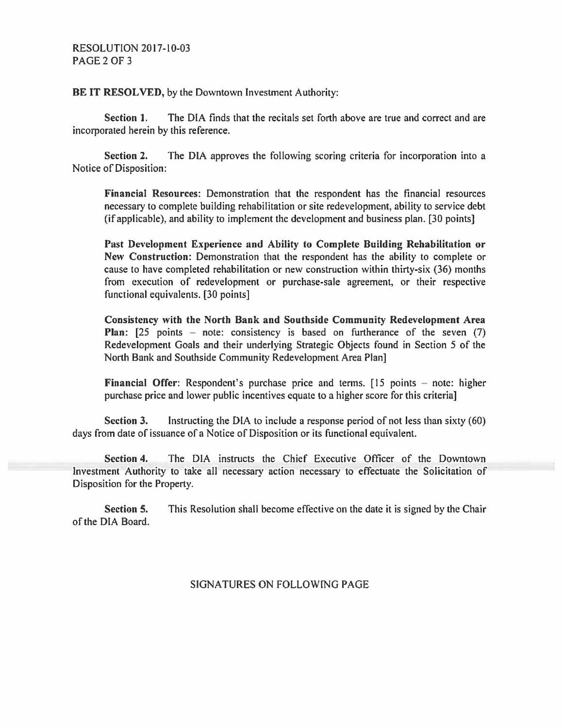**BE IT RESOLVED, by the Downtown Investment Authority:** 

**Section 1.** The DIA finds that the recitals set forth above are true and correct and are incorporated herein by this reference.

**Section 2.** The DIA approves the following scoring criteria for incorporation into a Notice of Disposition:

**Financial Resources:** Demonstration that the respondent has the financial resources necessary to complete building rehabilitation or site redevelopment, ability to service debt (if applicable), and ability to implement the development and business plan. [30 points)

**Past Development Experience and Ability to Complete Building Rehabilitation or New Construction:** Demonstration that the respondent has the ability to complete or cause to have completed rehabilitation or new construction within thirty-six (36) months from execution of redevelopment or purchase-sale agreement, or their respective functional equivalents. [30 points]

**Consistency with the North Bank and Southside Community Redevelopment Area Plan:** [25 points – note: consistency is based on furtherance of the seven (7) Redevelopment Goals and their underlying Strategic Objects found in Section 5 of the North Bank and Southside Community Redevelopment Area Plan]

**Financial Offer:** Respondent's purchase price and terms. [15 points – note: higher purchase price and lower public incentives equate to a higher score for this criteria]

**Section 3.** Instructing the DIA to include a response period of not less than sixty (60) days from date of issuance of a Notice of Disposition or its functional equivalent.

**Section 4.** The DIA instructs the Chief Executive Officer of the Downtown Investment Authority to take all necessary action necessary to effectuate the Solicitation of Disposition for the Property.

**Section 5.** This Resolution shall become effective on the date it is signed by the Chair of the DIA Board.

## SIGNATURES ON FOLLOWING PAGE